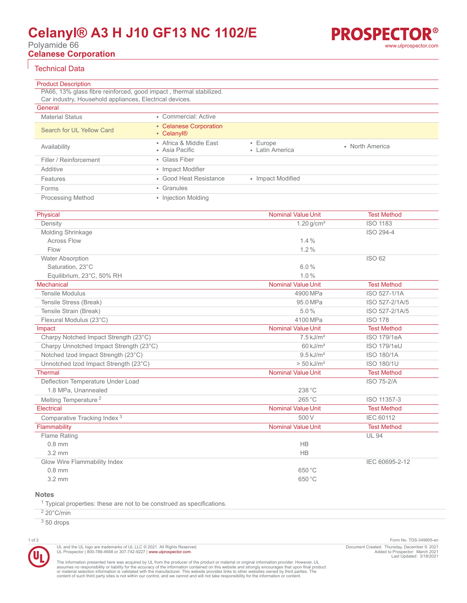# **Celanyl® A3 H J10 GF13 NC 1102/E**

Polyamide 66

**Celanese Corporation**

# Technical Data

Product Description

|  | www.ulprospector.com |  |
|--|----------------------|--|
|  |                      |  |
|  |                      |  |
|  |                      |  |

**PROSPECTOR®** 

| PA66, 13% glass fibre reinforced, good impact, thermal stabilized. |                                                  |                                   |                 |  |  |  |
|--------------------------------------------------------------------|--------------------------------------------------|-----------------------------------|-----------------|--|--|--|
| Car industry, Household appliances, Electrical devices.            |                                                  |                                   |                 |  |  |  |
| General                                                            |                                                  |                                   |                 |  |  |  |
| <b>Material Status</b>                                             | • Commercial: Active                             |                                   |                 |  |  |  |
| Search for UL Yellow Card                                          | • Celanese Corporation<br>• Celanyl <sup>®</sup> |                                   |                 |  |  |  |
| Availability                                                       | • Africa & Middle East<br>• Asia Pacific         | $\cdot$ Europe<br>• Latin America | • North America |  |  |  |
| Filler / Reinforcement                                             | • Glass Fiber                                    |                                   |                 |  |  |  |
| Additive                                                           | • Impact Modifier                                |                                   |                 |  |  |  |
| Features                                                           | • Good Heat Resistance                           | • Impact Modified                 |                 |  |  |  |
| Forms                                                              | • Granules                                       |                                   |                 |  |  |  |
| <b>Processing Method</b>                                           | • Injection Molding                              |                                   |                 |  |  |  |

| Physical                                | <b>Nominal Value Unit</b> | <b>Test Method</b> |
|-----------------------------------------|---------------------------|--------------------|
| Density                                 | $1.20$ g/cm <sup>3</sup>  | <b>ISO 1183</b>    |
| Molding Shrinkage                       |                           | ISO 294-4          |
| <b>Across Flow</b>                      | 1.4%                      |                    |
| Flow                                    | 1.2%                      |                    |
| <b>Water Absorption</b>                 |                           | ISO 62             |
| Saturation. 23°C                        | 6.0%                      |                    |
| Equilibrium, 23°C, 50% RH               | 1.0%                      |                    |
| Mechanical                              | <b>Nominal Value Unit</b> | <b>Test Method</b> |
| <b>Tensile Modulus</b>                  | 4900 MPa                  | ISO 527-1/1A       |
| Tensile Stress (Break)                  | 95.0 MPa                  | ISO 527-2/1A/5     |
| Tensile Strain (Break)                  | 5.0%                      | ISO 527-2/1A/5     |
| Flexural Modulus (23°C)                 | 4100 MPa                  | <b>ISO 178</b>     |
| Impact                                  | <b>Nominal Value Unit</b> | <b>Test Method</b> |
| Charpy Notched Impact Strength (23°C)   | $7.5 \,\mathrm{kJ/m^2}$   | <b>ISO 179/1eA</b> |
| Charpy Unnotched Impact Strength (23°C) | $60 \text{ kJ/m}^2$       | ISO 179/1eU        |
| Notched Izod Impact Strength (23°C)     | $9.5 \text{ kJ/m}^2$      | <b>ISO 180/1A</b>  |
| Unnotched Izod Impact Strength (23°C)   | $> 50$ kJ/m <sup>2</sup>  | ISO 180/1U         |
| <b>Thermal</b>                          | <b>Nominal Value Unit</b> | <b>Test Method</b> |
| Deflection Temperature Under Load       |                           | <b>ISO 75-2/A</b>  |
| 1.8 MPa, Unannealed                     | 238 °C                    |                    |
| Melting Temperature <sup>2</sup>        | 265 °C                    | ISO 11357-3        |
| Electrical                              | <b>Nominal Value Unit</b> | <b>Test Method</b> |
| Comparative Tracking Index <sup>3</sup> | 500 V                     | <b>IEC 60112</b>   |
| Flammability                            | <b>Nominal Value Unit</b> | <b>Test Method</b> |
| <b>Flame Rating</b>                     |                           | <b>UL 94</b>       |
| $0.8$ mm                                | <b>HB</b>                 |                    |
| $3.2 \text{ mm}$                        | <b>HB</b>                 |                    |
| Glow Wire Flammability Index            |                           | IEC 60695-2-12     |
| $0.8$ mm                                | 650 °C                    |                    |
| $3.2 \text{ mm}$                        | 650 °C                    |                    |
|                                         |                           |                    |

## **Notes**

<sup>1</sup> Typical properties: these are not to be construed as specifications.

UL and the UL logo are trademarks of UL LLC © 2021. All Rights Reserved.<br>UL Prospector | 800-788-4668 or 307-742-9227 | [www.ulprospector.com](http://www.ulprospector.com).

 $220^{\circ}$ C/min

 $350$  drops



1 of 2 Form No. TDS-349905-en Document Created: Thursday, December 9, 2021 Added to Prospector: March 2021 Last Updated: 3/18/2021

The information presented here was acquired by UL from the producer of the product or material or original information provider. However, UL<br>assumes no responsibility or liability for the accuracy of the information contai